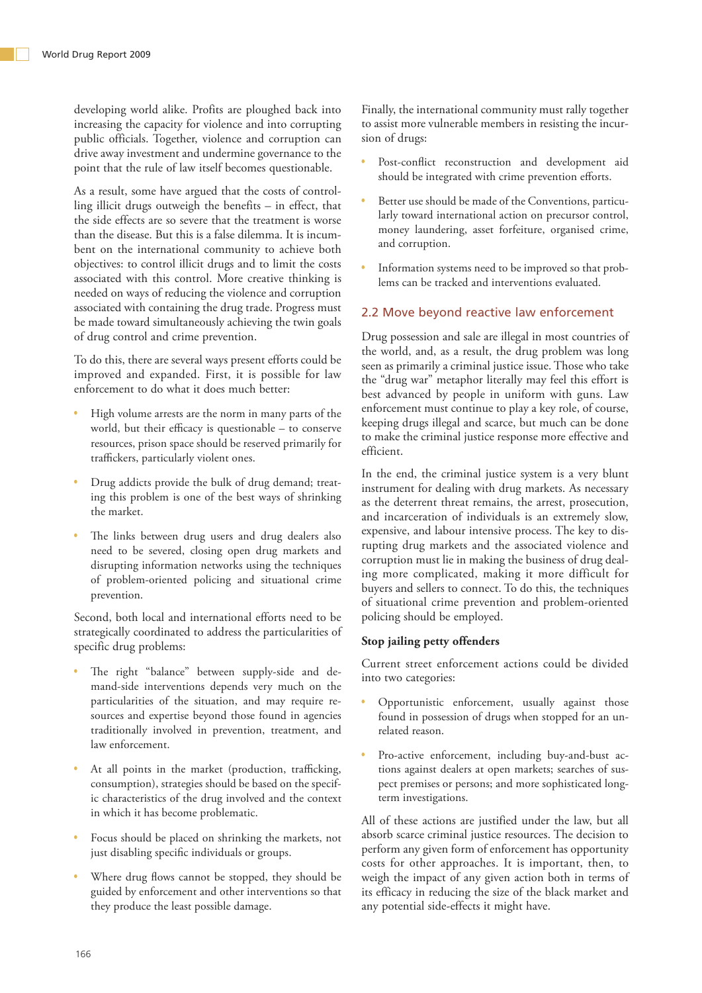developing world alike. Profits are ploughed back into increasing the capacity for violence and into corrupting public officials. Together, violence and corruption can drive away investment and undermine governance to the point that the rule of law itself becomes questionable.

As a result, some have argued that the costs of controlling illicit drugs outweigh the benefits – in effect, that the side effects are so severe that the treatment is worse than the disease. But this is a false dilemma. It is incumbent on the international community to achieve both objectives: to control illicit drugs and to limit the costs associated with this control. More creative thinking is needed on ways of reducing the violence and corruption associated with containing the drug trade. Progress must be made toward simultaneously achieving the twin goals of drug control and crime prevention.

To do this, there are several ways present efforts could be improved and expanded. First, it is possible for law enforcement to do what it does much better:

- High volume arrests are the norm in many parts of the world, but their efficacy is questionable – to conserve resources, prison space should be reserved primarily for traffickers, particularly violent ones.
- Drug addicts provide the bulk of drug demand; treating this problem is one of the best ways of shrinking the market.
- The links between drug users and drug dealers also need to be severed, closing open drug markets and disrupting information networks using the techniques of problem-oriented policing and situational crime prevention.

Second, both local and international efforts need to be strategically coordinated to address the particularities of specific drug problems:

- The right "balance" between supply-side and demand-side interventions depends very much on the particularities of the situation, and may require resources and expertise beyond those found in agencies traditionally involved in prevention, treatment, and law enforcement.
- At all points in the market (production, trafficking, consumption), strategies should be based on the specific characteristics of the drug involved and the context in which it has become problematic.
- Focus should be placed on shrinking the markets, not just disabling specific individuals or groups.
- Where drug flows cannot be stopped, they should be guided by enforcement and other interventions so that they produce the least possible damage.

Finally, the international community must rally together to assist more vulnerable members in resisting the incursion of drugs:

- Post-conflict reconstruction and development aid should be integrated with crime prevention efforts.
- Better use should be made of the Conventions, particularly toward international action on precursor control, money laundering, asset forfeiture, organised crime, and corruption.
- Information systems need to be improved so that problems can be tracked and interventions evaluated.

# 2.2 Move beyond reactive law enforcement

Drug possession and sale are illegal in most countries of the world, and, as a result, the drug problem was long seen as primarily a criminal justice issue. Those who take the "drug war" metaphor literally may feel this effort is best advanced by people in uniform with guns. Law enforcement must continue to play a key role, of course, keeping drugs illegal and scarce, but much can be done to make the criminal justice response more effective and efficient.

In the end, the criminal justice system is a very blunt instrument for dealing with drug markets. As necessary as the deterrent threat remains, the arrest, prosecution, and incarceration of individuals is an extremely slow, expensive, and labour intensive process. The key to disrupting drug markets and the associated violence and corruption must lie in making the business of drug dealing more complicated, making it more difficult for buyers and sellers to connect. To do this, the techniques of situational crime prevention and problem-oriented policing should be employed.

## **Stop jailing petty offenders**

Current street enforcement actions could be divided into two categories:

- Opportunistic enforcement, usually against those found in possession of drugs when stopped for an unrelated reason.
- Pro-active enforcement, including buy-and-bust actions against dealers at open markets; searches of suspect premises or persons; and more sophisticated longterm investigations.

All of these actions are justified under the law, but all absorb scarce criminal justice resources. The decision to perform any given form of enforcement has opportunity costs for other approaches. It is important, then, to weigh the impact of any given action both in terms of its efficacy in reducing the size of the black market and any potential side-effects it might have.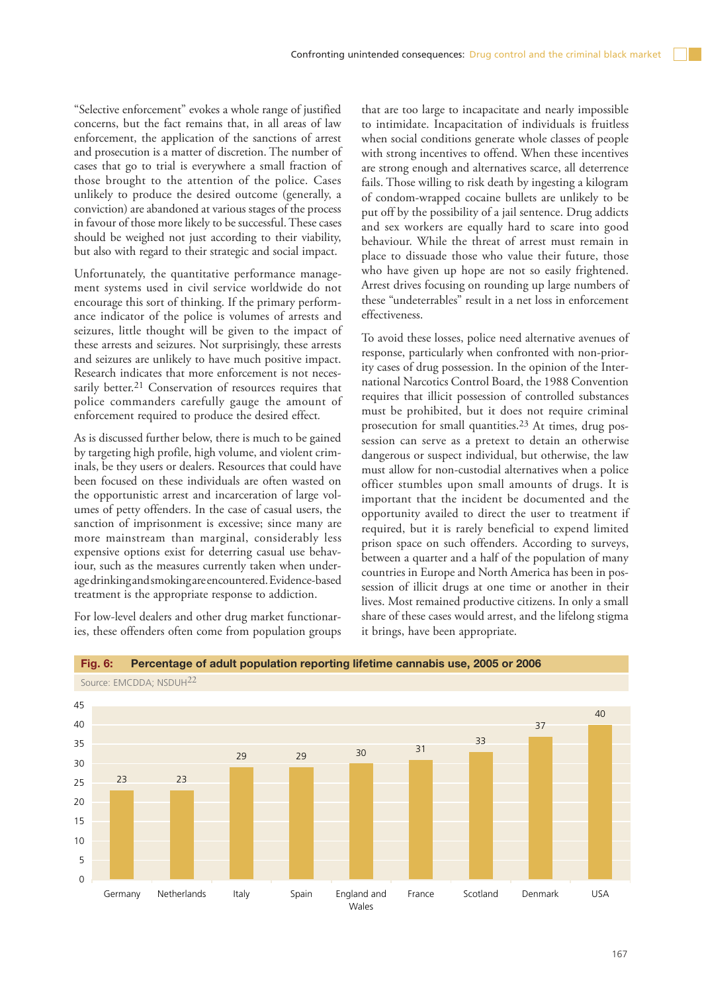"Selective enforcement" evokes a whole range of justified concerns, but the fact remains that, in all areas of law enforcement, the application of the sanctions of arrest and prosecution is a matter of discretion. The number of cases that go to trial is everywhere a small fraction of those brought to the attention of the police. Cases unlikely to produce the desired outcome (generally, a conviction) are abandoned at various stages of the process in favour of those more likely to be successful. These cases should be weighed not just according to their viability, but also with regard to their strategic and social impact.

Unfortunately, the quantitative performance management systems used in civil service worldwide do not encourage this sort of thinking. If the primary performance indicator of the police is volumes of arrests and seizures, little thought will be given to the impact of these arrests and seizures. Not surprisingly, these arrests and seizures are unlikely to have much positive impact. Research indicates that more enforcement is not necessarily better.<sup>21</sup> Conservation of resources requires that police commanders carefully gauge the amount of enforcement required to produce the desired effect*.*

As is discussed further below, there is much to be gained by targeting high profile, high volume, and violent criminals, be they users or dealers. Resources that could have been focused on these individuals are often wasted on the opportunistic arrest and incarceration of large volumes of petty offenders. In the case of casual users, the sanction of imprisonment is excessive; since many are more mainstream than marginal, considerably less expensive options exist for deterring casual use behaviour, such as the measures currently taken when underage drinking and smoking are encountered. Evidence-based treatment is the appropriate response to addiction.

For low-level dealers and other drug market functionaries, these offenders often come from population groups

that are too large to incapacitate and nearly impossible to intimidate. Incapacitation of individuals is fruitless when social conditions generate whole classes of people with strong incentives to offend. When these incentives are strong enough and alternatives scarce, all deterrence fails. Those willing to risk death by ingesting a kilogram of condom-wrapped cocaine bullets are unlikely to be put off by the possibility of a jail sentence. Drug addicts and sex workers are equally hard to scare into good behaviour. While the threat of arrest must remain in place to dissuade those who value their future, those who have given up hope are not so easily frightened. Arrest drives focusing on rounding up large numbers of these "undeterrables" result in a net loss in enforcement effectiveness.

To avoid these losses, police need alternative avenues of response, particularly when confronted with non-priority cases of drug possession. In the opinion of the International Narcotics Control Board, the 1988 Convention requires that illicit possession of controlled substances must be prohibited, but it does not require criminal prosecution for small quantities.23 At times, drug possession can serve as a pretext to detain an otherwise dangerous or suspect individual, but otherwise, the law must allow for non-custodial alternatives when a police officer stumbles upon small amounts of drugs. It is important that the incident be documented and the opportunity availed to direct the user to treatment if required, but it is rarely beneficial to expend limited prison space on such offenders. According to surveys, between a quarter and a half of the population of many countries in Europe and North America has been in possession of illicit drugs at one time or another in their lives. Most remained productive citizens. In only a small share of these cases would arrest, and the lifelong stigma it brings, have been appropriate.



# **Fig. 6: Percentage of adult population reporting lifetime cannabis use, 2005 or 2006**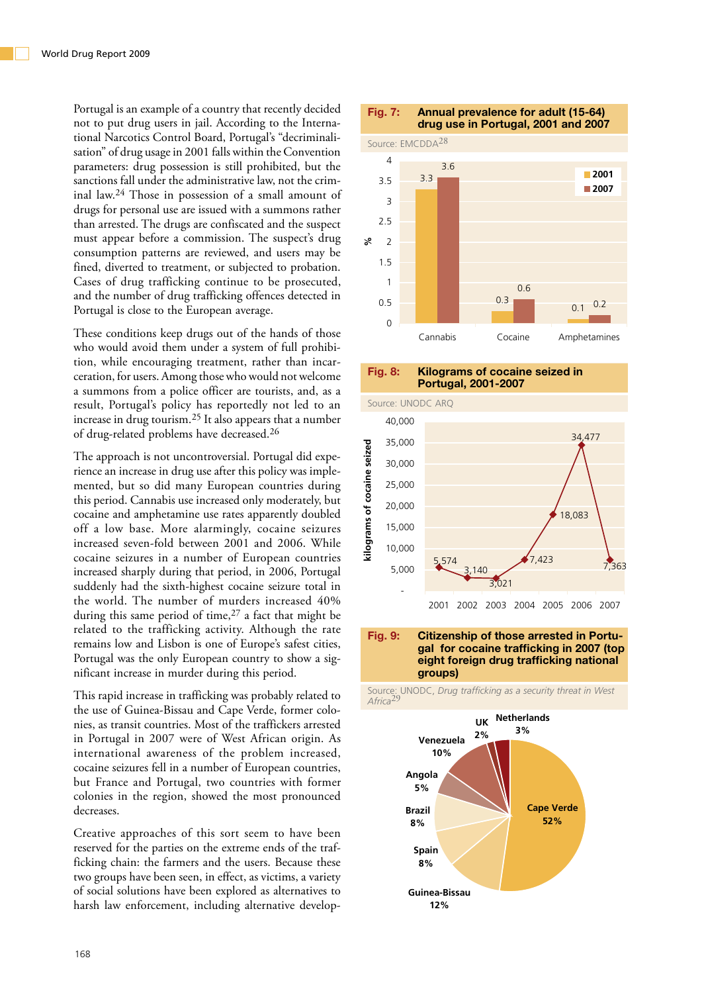Portugal is an example of a country that recently decided not to put drug users in jail. According to the International Narcotics Control Board, Portugal's "decriminalisation" of drug usage in 2001 falls within the Convention parameters: drug possession is still prohibited, but the sanctions fall under the administrative law, not the criminal law.24 Those in possession of a small amount of drugs for personal use are issued with a summons rather than arrested. The drugs are confiscated and the suspect must appear before a commission. The suspect's drug consumption patterns are reviewed, and users may be fined, diverted to treatment, or subjected to probation. Cases of drug trafficking continue to be prosecuted, and the number of drug trafficking offences detected in Portugal is close to the European average.

These conditions keep drugs out of the hands of those who would avoid them under a system of full prohibition, while encouraging treatment, rather than incarceration, for users. Among those who would not welcome a summons from a police officer are tourists, and, as a result, Portugal's policy has reportedly not led to an increase in drug tourism.25 It also appears that a number of drug-related problems have decreased.26

The approach is not uncontroversial. Portugal did experience an increase in drug use after this policy was implemented, but so did many European countries during this period. Cannabis use increased only moderately, but cocaine and amphetamine use rates apparently doubled off a low base. More alarmingly, cocaine seizures increased seven-fold between 2001 and 2006. While cocaine seizures in a number of European countries increased sharply during that period, in 2006, Portugal suddenly had the sixth-highest cocaine seizure total in the world. The number of murders increased 40% during this same period of time, $27$  a fact that might be related to the trafficking activity. Although the rate remains low and Lisbon is one of Europe's safest cities, Portugal was the only European country to show a significant increase in murder during this period.

This rapid increase in trafficking was probably related to the use of Guinea-Bissau and Cape Verde, former colonies, as transit countries. Most of the traffickers arrested in Portugal in 2007 were of West African origin. As international awareness of the problem increased, cocaine seizures fell in a number of European countries, but France and Portugal, two countries with former colonies in the region, showed the most pronounced decreases.

Creative approaches of this sort seem to have been reserved for the parties on the extreme ends of the trafficking chain: the farmers and the users. Because these two groups have been seen, in effect, as victims, a variety of social solutions have been explored as alternatives to harsh law enforcement, including alternative develop-









#### **Fig. 9: Citizenship of those arrested in Portugal for cocaine trafficking in 2007 (top eight foreign drug trafficking national groups)**



Source: UNODC, *Drug trafficking as a security threat in West*  Africa<sup>2</sup>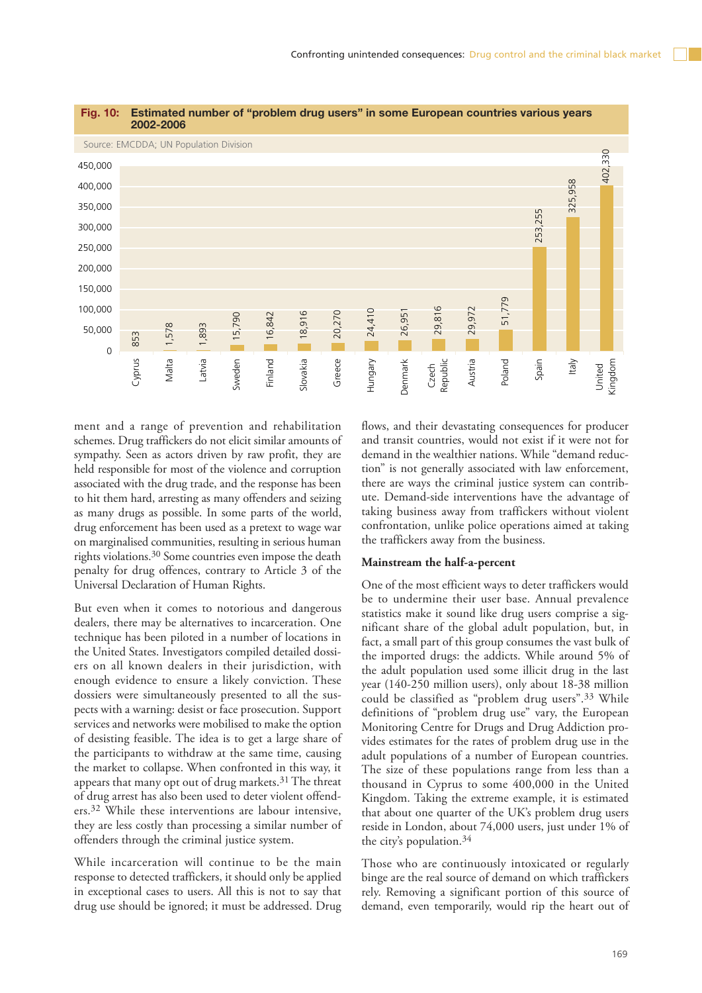

ment and a range of prevention and rehabilitation schemes. Drug traffickers do not elicit similar amounts of sympathy. Seen as actors driven by raw profit, they are held responsible for most of the violence and corruption associated with the drug trade, and the response has been to hit them hard, arresting as many offenders and seizing as many drugs as possible. In some parts of the world, drug enforcement has been used as a pretext to wage war on marginalised communities, resulting in serious human rights violations.30 Some countries even impose the death penalty for drug offences, contrary to Article 3 of the Universal Declaration of Human Rights.

But even when it comes to notorious and dangerous dealers, there may be alternatives to incarceration. One technique has been piloted in a number of locations in the United States. Investigators compiled detailed dossiers on all known dealers in their jurisdiction, with enough evidence to ensure a likely conviction. These dossiers were simultaneously presented to all the suspects with a warning: desist or face prosecution. Support services and networks were mobilised to make the option of desisting feasible. The idea is to get a large share of the participants to withdraw at the same time, causing the market to collapse. When confronted in this way, it appears that many opt out of drug markets.31 The threat of drug arrest has also been used to deter violent offenders.32 While these interventions are labour intensive, they are less costly than processing a similar number of offenders through the criminal justice system.

While incarceration will continue to be the main response to detected traffickers, it should only be applied in exceptional cases to users. All this is not to say that drug use should be ignored; it must be addressed. Drug

flows, and their devastating consequences for producer and transit countries, would not exist if it were not for demand in the wealthier nations. While "demand reduction" is not generally associated with law enforcement, there are ways the criminal justice system can contribute. Demand-side interventions have the advantage of taking business away from traffickers without violent confrontation, unlike police operations aimed at taking the traffickers away from the business.

#### **Mainstream the half-a-percent**

One of the most efficient ways to deter traffickers would be to undermine their user base. Annual prevalence statistics make it sound like drug users comprise a significant share of the global adult population, but, in fact, a small part of this group consumes the vast bulk of the imported drugs: the addicts. While around 5% of the adult population used some illicit drug in the last year (140-250 million users), only about 18-38 million could be classified as "problem drug users".33 While definitions of "problem drug use" vary, the European Monitoring Centre for Drugs and Drug Addiction provides estimates for the rates of problem drug use in the adult populations of a number of European countries. The size of these populations range from less than a thousand in Cyprus to some 400,000 in the United Kingdom. Taking the extreme example, it is estimated that about one quarter of the UK's problem drug users reside in London, about 74,000 users, just under 1% of the city's population.34

Those who are continuously intoxicated or regularly binge are the real source of demand on which traffickers rely. Removing a significant portion of this source of demand, even temporarily, would rip the heart out of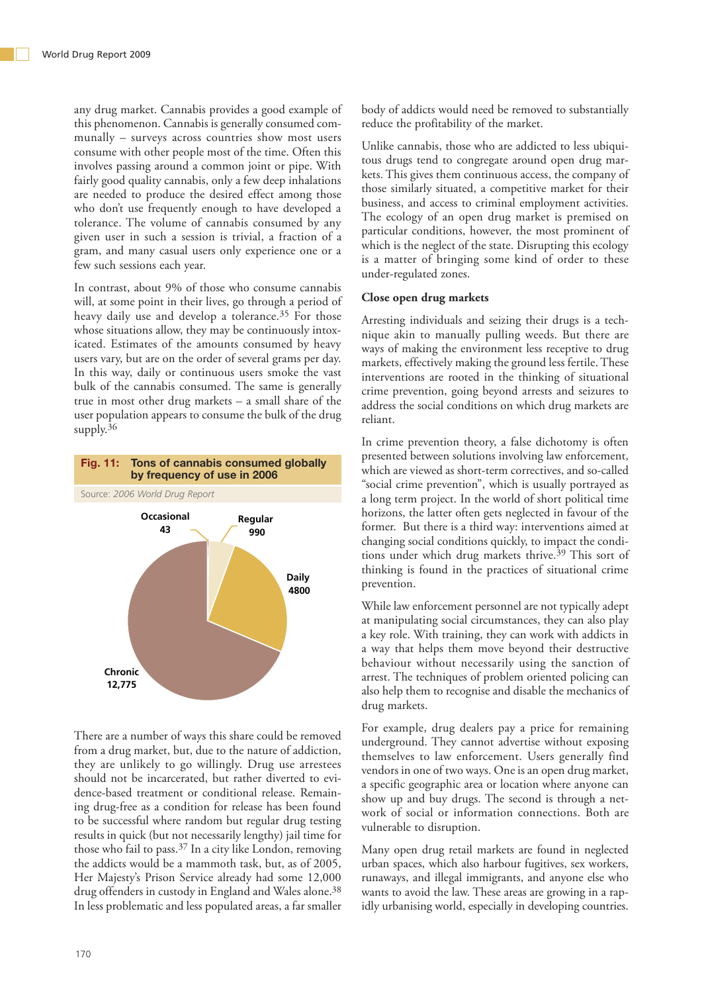any drug market. Cannabis provides a good example of this phenomenon. Cannabis is generally consumed communally – surveys across countries show most users consume with other people most of the time. Often this involves passing around a common joint or pipe. With fairly good quality cannabis, only a few deep inhalations are needed to produce the desired effect among those who don't use frequently enough to have developed a tolerance. The volume of cannabis consumed by any given user in such a session is trivial, a fraction of a gram, and many casual users only experience one or a few such sessions each year.

In contrast, about 9% of those who consume cannabis will, at some point in their lives, go through a period of heavy daily use and develop a tolerance.35 For those whose situations allow, they may be continuously intoxicated. Estimates of the amounts consumed by heavy users vary, but are on the order of several grams per day. In this way, daily or continuous users smoke the vast bulk of the cannabis consumed. The same is generally true in most other drug markets – a small share of the user population appears to consume the bulk of the drug supply.<sup>36</sup>



There are a number of ways this share could be removed from a drug market, but, due to the nature of addiction, they are unlikely to go willingly. Drug use arrestees should not be incarcerated, but rather diverted to evidence-based treatment or conditional release. Remaining drug-free as a condition for release has been found to be successful where random but regular drug testing results in quick (but not necessarily lengthy) jail time for those who fail to pass.37 In a city like London, removing the addicts would be a mammoth task, but, as of 2005, Her Majesty's Prison Service already had some 12,000 drug offenders in custody in England and Wales alone.38 In less problematic and less populated areas, a far smaller

body of addicts would need be removed to substantially reduce the profitability of the market.

Unlike cannabis, those who are addicted to less ubiquitous drugs tend to congregate around open drug markets. This gives them continuous access, the company of those similarly situated, a competitive market for their business, and access to criminal employment activities. The ecology of an open drug market is premised on particular conditions, however, the most prominent of which is the neglect of the state. Disrupting this ecology is a matter of bringing some kind of order to these under-regulated zones.

## **Close open drug markets**

Arresting individuals and seizing their drugs is a technique akin to manually pulling weeds. But there are ways of making the environment less receptive to drug markets, effectively making the ground less fertile. These interventions are rooted in the thinking of situational crime prevention, going beyond arrests and seizures to address the social conditions on which drug markets are reliant.

In crime prevention theory, a false dichotomy is often presented between solutions involving law enforcement, which are viewed as short-term correctives, and so-called "social crime prevention", which is usually portrayed as a long term project. In the world of short political time horizons, the latter often gets neglected in favour of the former. But there is a third way: interventions aimed at changing social conditions quickly, to impact the conditions under which drug markets thrive.39 This sort of thinking is found in the practices of situational crime prevention.

While law enforcement personnel are not typically adept at manipulating social circumstances, they can also play a key role. With training, they can work with addicts in a way that helps them move beyond their destructive behaviour without necessarily using the sanction of arrest. The techniques of problem oriented policing can also help them to recognise and disable the mechanics of drug markets.

For example, drug dealers pay a price for remaining underground. They cannot advertise without exposing themselves to law enforcement. Users generally find vendors in one of two ways. One is an open drug market, a specific geographic area or location where anyone can show up and buy drugs. The second is through a network of social or information connections. Both are vulnerable to disruption.

Many open drug retail markets are found in neglected urban spaces, which also harbour fugitives, sex workers, runaways, and illegal immigrants, and anyone else who wants to avoid the law. These areas are growing in a rapidly urbanising world, especially in developing countries.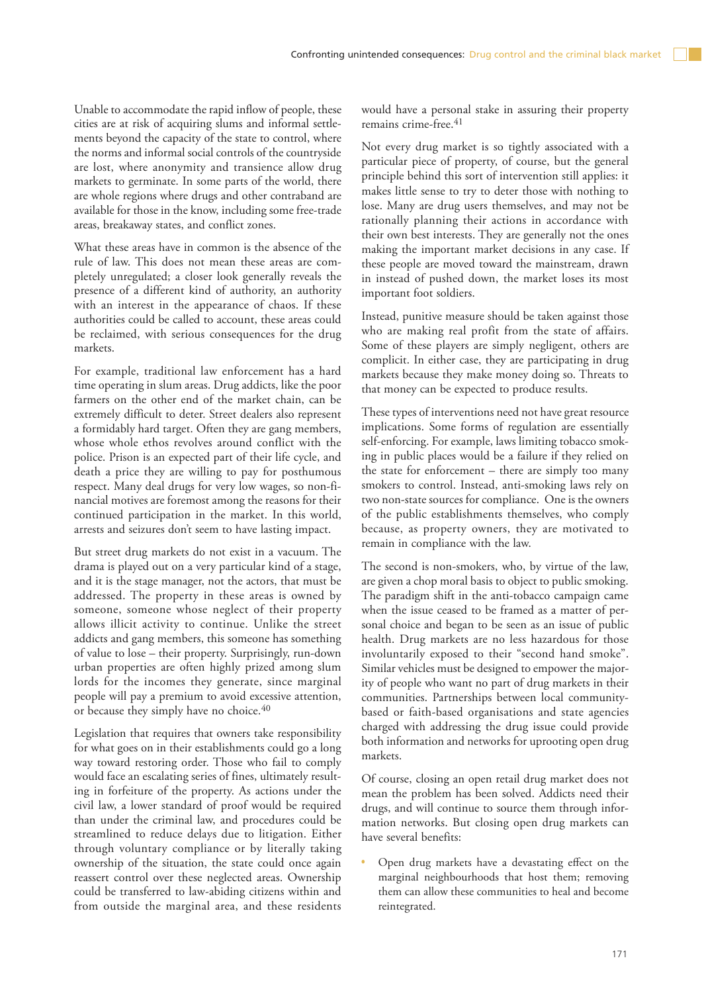Unable to accommodate the rapid inflow of people, these cities are at risk of acquiring slums and informal settlements beyond the capacity of the state to control, where the norms and informal social controls of the countryside are lost, where anonymity and transience allow drug markets to germinate. In some parts of the world, there are whole regions where drugs and other contraband are available for those in the know, including some free-trade areas, breakaway states, and conflict zones.

What these areas have in common is the absence of the rule of law. This does not mean these areas are completely unregulated; a closer look generally reveals the presence of a different kind of authority, an authority with an interest in the appearance of chaos. If these authorities could be called to account, these areas could be reclaimed, with serious consequences for the drug markets.

For example, traditional law enforcement has a hard time operating in slum areas. Drug addicts, like the poor farmers on the other end of the market chain, can be extremely difficult to deter. Street dealers also represent a formidably hard target. Often they are gang members, whose whole ethos revolves around conflict with the police. Prison is an expected part of their life cycle, and death a price they are willing to pay for posthumous respect. Many deal drugs for very low wages, so non-financial motives are foremost among the reasons for their continued participation in the market. In this world, arrests and seizures don't seem to have lasting impact.

But street drug markets do not exist in a vacuum. The drama is played out on a very particular kind of a stage, and it is the stage manager, not the actors, that must be addressed. The property in these areas is owned by someone, someone whose neglect of their property allows illicit activity to continue. Unlike the street addicts and gang members, this someone has something of value to lose – their property. Surprisingly, run-down urban properties are often highly prized among slum lords for the incomes they generate, since marginal people will pay a premium to avoid excessive attention, or because they simply have no choice.<sup>40</sup>

Legislation that requires that owners take responsibility for what goes on in their establishments could go a long way toward restoring order. Those who fail to comply would face an escalating series of fines, ultimately resulting in forfeiture of the property. As actions under the civil law, a lower standard of proof would be required than under the criminal law, and procedures could be streamlined to reduce delays due to litigation. Either through voluntary compliance or by literally taking ownership of the situation, the state could once again reassert control over these neglected areas. Ownership could be transferred to law-abiding citizens within and from outside the marginal area, and these residents

would have a personal stake in assuring their property remains crime-free.<sup>41</sup>

Not every drug market is so tightly associated with a particular piece of property, of course, but the general principle behind this sort of intervention still applies: it makes little sense to try to deter those with nothing to lose. Many are drug users themselves, and may not be rationally planning their actions in accordance with their own best interests. They are generally not the ones making the important market decisions in any case. If these people are moved toward the mainstream, drawn in instead of pushed down, the market loses its most important foot soldiers.

Instead, punitive measure should be taken against those who are making real profit from the state of affairs. Some of these players are simply negligent, others are complicit. In either case, they are participating in drug markets because they make money doing so. Threats to that money can be expected to produce results.

These types of interventions need not have great resource implications. Some forms of regulation are essentially self-enforcing. For example, laws limiting tobacco smoking in public places would be a failure if they relied on the state for enforcement – there are simply too many smokers to control. Instead, anti-smoking laws rely on two non-state sources for compliance. One is the owners of the public establishments themselves, who comply because, as property owners, they are motivated to remain in compliance with the law.

The second is non-smokers, who, by virtue of the law, are given a chop moral basis to object to public smoking. The paradigm shift in the anti-tobacco campaign came when the issue ceased to be framed as a matter of personal choice and began to be seen as an issue of public health. Drug markets are no less hazardous for those involuntarily exposed to their "second hand smoke". Similar vehicles must be designed to empower the majority of people who want no part of drug markets in their communities. Partnerships between local communitybased or faith-based organisations and state agencies charged with addressing the drug issue could provide both information and networks for uprooting open drug markets.

Of course, closing an open retail drug market does not mean the problem has been solved. Addicts need their drugs, and will continue to source them through information networks. But closing open drug markets can have several benefits:

Open drug markets have a devastating effect on the marginal neighbourhoods that host them; removing them can allow these communities to heal and become reintegrated.